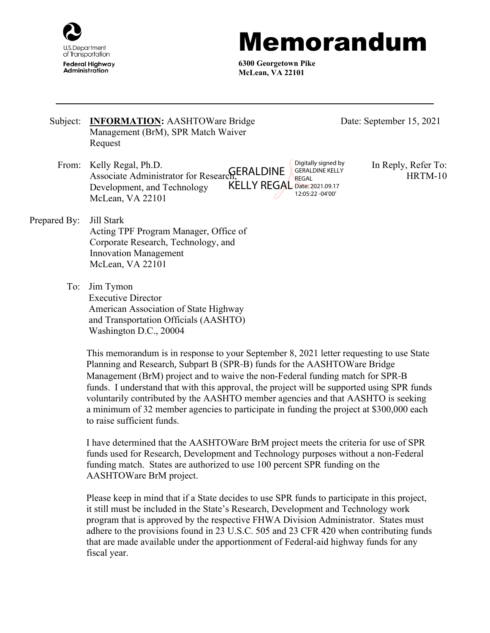

## Memorandum

**6300 Georgetown Pike McLean, VA 22101**

- Subject: **INFORMATION:** AASHTOWare Bridge Management (BrM), SPR Match Waiver Request
	- From: Kelly Regal, Ph.D. In Reply, Refer To: Associate Administrator for Research, GERALDINE Development, and Technology McLean, VA 22101 KELLY REGAL Date: 2021.09.17 Digitally signed by GERALDINE KELLY REGAL 12:05:22 -04'00'
- Date: September 15, 2021

HRTM-10

Prepared By: Jill Stark Acting TPF Program Manager, Office of Corporate Research, Technology, and Innovation Management McLean, VA 22101

> To: Jim Tymon Executive Director American Association of State Highway and Transportation Officials (AASHTO) Washington D.C., 20004

> > This memorandum is in response to your September 8, 2021 letter requesting to use State Planning and Research, Subpart B (SPR-B) funds for the AASHTOWare Bridge Management (BrM) project and to waive the non-Federal funding match for SPR-B funds. I understand that with this approval, the project will be supported using SPR funds voluntarily contributed by the AASHTO member agencies and that AASHTO is seeking a minimum of 32 member agencies to participate in funding the project at \$300,000 each to raise sufficient funds.

I have determined that the AASHTOWare BrM project meets the criteria for use of SPR funds used for Research, Development and Technology purposes without a non-Federal funding match. States are authorized to use 100 percent SPR funding on the AASHTOWare BrM project.

Please keep in mind that if a State decides to use SPR funds to participate in this project, it still must be included in the State's Research, Development and Technology work program that is approved by the respective FHWA Division Administrator. States must adhere to the provisions found in 23 U.S.C. 505 and 23 CFR 420 when contributing funds that are made available under the apportionment of Federal-aid highway funds for any fiscal year.